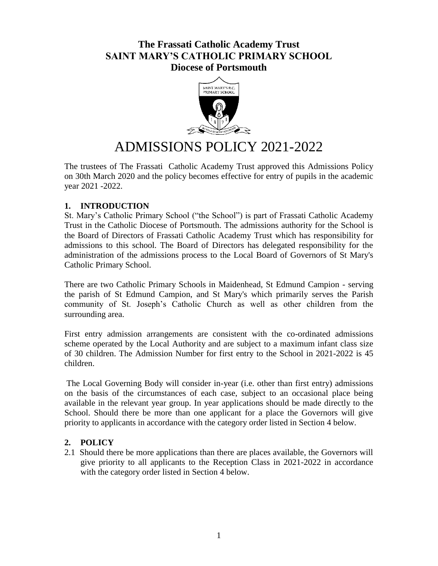# **The Frassati Catholic Academy Trust SAINT MARY'S CATHOLIC PRIMARY SCHOOL Diocese of Portsmouth**



# ADMISSIONS POLICY 2021-2022

The trustees of The Frassati Catholic Academy Trust approved this Admissions Policy on 30th March 2020 and the policy becomes effective for entry of pupils in the academic year 2021 -2022.

# **1. INTRODUCTION**

St. Mary's Catholic Primary School ("the School") is part of Frassati Catholic Academy Trust in the Catholic Diocese of Portsmouth. The admissions authority for the School is the Board of Directors of Frassati Catholic Academy Trust which has responsibility for admissions to this school. The Board of Directors has delegated responsibility for the administration of the admissions process to the Local Board of Governors of St Mary's Catholic Primary School.

There are two Catholic Primary Schools in Maidenhead, St Edmund Campion - serving the parish of St Edmund Campion, and St Mary's which primarily serves the Parish community of St. Joseph's Catholic Church as well as other children from the surrounding area.

First entry admission arrangements are consistent with the co-ordinated admissions scheme operated by the Local Authority and are subject to a maximum infant class size of 30 children. The Admission Number for first entry to the School in 2021-2022 is 45 children.

The Local Governing Body will consider in-year (i.e. other than first entry) admissions on the basis of the circumstances of each case, subject to an occasional place being available in the relevant year group. In year applications should be made directly to the School. Should there be more than one applicant for a place the Governors will give priority to applicants in accordance with the category order listed in Section 4 below.

#### **2. POLICY**

2.1 Should there be more applications than there are places available, the Governors will give priority to all applicants to the Reception Class in 2021-2022 in accordance with the category order listed in Section 4 below.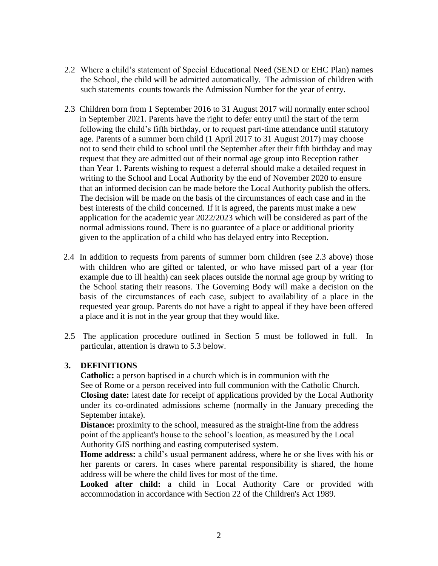- 2.2 Where a child's statement of Special Educational Need (SEND or EHC Plan) names the School, the child will be admitted automatically. The admission of children with such statements counts towards the Admission Number for the year of entry.
- 2.3 Children born from 1 September 2016 to 31 August 2017 will normally enter school in September 2021. Parents have the right to defer entry until the start of the term following the child's fifth birthday, or to request part-time attendance until statutory age. Parents of a summer born child (1 April 2017 to 31 August 2017) may choose not to send their child to school until the September after their fifth birthday and may request that they are admitted out of their normal age group into Reception rather than Year 1. Parents wishing to request a deferral should make a detailed request in writing to the School and Local Authority by the end of November 2020 to ensure that an informed decision can be made before the Local Authority publish the offers. The decision will be made on the basis of the circumstances of each case and in the best interests of the child concerned. If it is agreed, the parents must make a new application for the academic year 2022/2023 which will be considered as part of the normal admissions round. There is no guarantee of a place or additional priority given to the application of a child who has delayed entry into Reception.
- 2.4 In addition to requests from parents of summer born children (see 2.3 above) those with children who are gifted or talented, or who have missed part of a year (for example due to ill health) can seek places outside the normal age group by writing to the School stating their reasons. The Governing Body will make a decision on the basis of the circumstances of each case, subject to availability of a place in the requested year group. Parents do not have a right to appeal if they have been offered a place and it is not in the year group that they would like.
- 2.5 The application procedure outlined in Section 5 must be followed in full. In particular, attention is drawn to 5.3 below.

# **3. DEFINITIONS**

**Catholic:** a person baptised in a church which is in communion with the See of Rome or a person received into full communion with the Catholic Church. **Closing date:** latest date for receipt of applications provided by the Local Authority under its co-ordinated admissions scheme (normally in the January preceding the September intake).

**Distance:** proximity to the school, measured as the straight-line from the address point of the applicant's house to the school's location, as measured by the Local Authority GIS northing and easting computerised system.

**Home address:** a child's usual permanent address, where he or she lives with his or her parents or carers. In cases where parental responsibility is shared, the home address will be where the child lives for most of the time.

**Looked after child:** a child in Local Authority Care or provided with accommodation in accordance with Section 22 of the Children's Act 1989.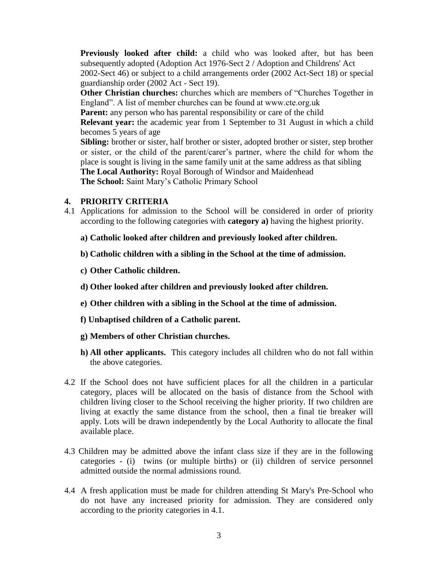**Previously looked after child:** a child who was looked after, but has been subsequently adopted (Adoption Act 1976-Sect 2 / Adoption and Childrens' Act 2002-Sect 46) or subject to a child arrangements order (2002 Act-Sect 18) or special guardianship order (2002 Act - Sect 19).

**Other Christian churches:** churches which are members of "Churches Together in England". A list of member churches can be found at www.cte.org.uk

**Parent:** any person who has parental responsibility or care of the child

**Relevant year:** the academic year from 1 September to 31 August in which a child becomes 5 years of age

**Sibling:** brother or sister, half brother or sister, adopted brother or sister, step brother or sister, or the child of the parent/carer's partner, where the child for whom the place is sought is living in the same family unit at the same address as that sibling **The Local Authority:** Royal Borough of Windsor and Maidenhead **The School:** Saint Mary's Catholic Primary School

#### **4. PRIORITY CRITERIA**

- 4.1 Applications for admission to the School will be considered in order of priority according to the following categories with **category a)** having the highest priority.
	- **a) Catholic looked after children and previously looked after children.**
	- **b) Catholic children with a sibling in the School at the time of admission.**
	- **c) Other Catholic children.**
	- **d) Other looked after children and previously looked after children.**
	- **e) Other children with a sibling in the School at the time of admission.**
	- **f) Unbaptised children of a Catholic parent.**
	- **g) Members of other Christian churches.**
	- **h) All other applicants.** This category includes all children who do not fall within the above categories.
- 4.2 If the School does not have sufficient places for all the children in a particular category, places will be allocated on the basis of distance from the School with children living closer to the School receiving the higher priority. If two children are living at exactly the same distance from the school, then a final tie breaker will apply. Lots will be drawn independently by the Local Authority to allocate the final available place.
- 4.3 Children may be admitted above the infant class size if they are in the following categories - (i) twins (or multiple births) or (ii) children of service personnel admitted outside the normal admissions round.
- 4.4 A fresh application must be made for children attending St Mary's Pre-School who do not have any increased priority for admission. They are considered only according to the priority categories in 4.1.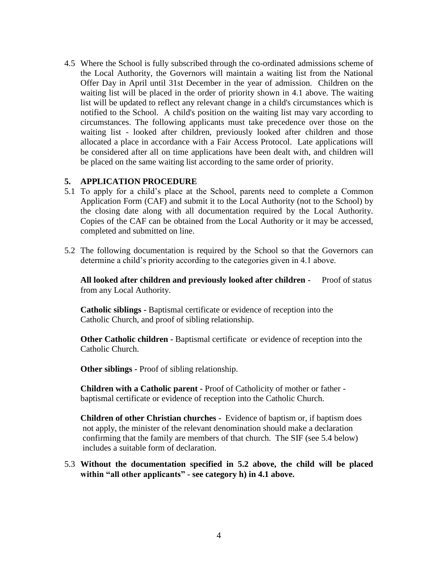4.5 Where the School is fully subscribed through the co-ordinated admissions scheme of the Local Authority, the Governors will maintain a waiting list from the National Offer Day in April until 31st December in the year of admission. Children on the waiting list will be placed in the order of priority shown in 4.1 above. The waiting list will be updated to reflect any relevant change in a child's circumstances which is notified to the School. A child's position on the waiting list may vary according to circumstances. The following applicants must take precedence over those on the waiting list - looked after children, previously looked after children and those allocated a place in accordance with a Fair Access Protocol. Late applications will be considered after all on time applications have been dealt with, and children will be placed on the same waiting list according to the same order of priority.

#### **5. APPLICATION PROCEDURE**

- 5.1 To apply for a child's place at the School, parents need to complete a Common Application Form (CAF) and submit it to the Local Authority (not to the School) by the closing date along with all documentation required by the Local Authority. Copies of the CAF can be obtained from the Local Authority or it may be accessed, completed and submitted on line.
- 5.2 The following documentation is required by the School so that the Governors can determine a child's priority according to the categories given in 4.1 above.

**All looked after children and previously looked after children -** Proof of status from any Local Authority.

**Catholic siblings -** Baptismal certificate or evidence of reception into the Catholic Church, and proof of sibling relationship.

**Other Catholic children -** Baptismal certificate or evidence of reception into the Catholic Church.

**Other siblings -** Proof of sibling relationship.

**Children with a Catholic parent -** Proof of Catholicity of mother or father baptismal certificate or evidence of reception into the Catholic Church.

**Children of other Christian churches -** Evidence of baptism or, if baptism does not apply, the minister of the relevant denomination should make a declaration confirming that the family are members of that church. The SIF (see 5.4 below) includes a suitable form of declaration.

### 5.3 **Without the documentation specified in 5.2 above, the child will be placed within "all other applicants" - see category h) in 4.1 above.**